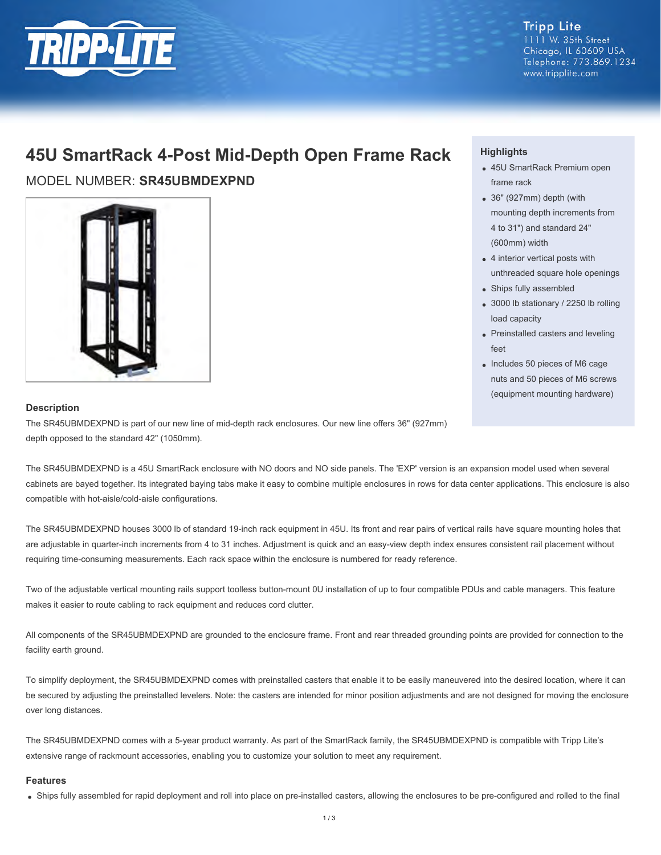

**Tripp Lite** 1111 W. 35th Street Chicago, IL 60609 USA Telephone: 773.869.1234 www.tripplite.com

## **45U SmartRack 4-Post Mid-Depth Open Frame Rack**

MODEL NUMBER: **SR45UBMDEXPND**



### **Highlights**

- 45U SmartRack Premium open frame rack
- 36" (927mm) depth (with mounting depth increments from 4 to 31") and standard 24" (600mm) width
- 4 interior vertical posts with unthreaded square hole openings
- Ships fully assembled
- 3000 lb stationary / 2250 lb rolling load capacity
- Preinstalled casters and leveling feet
- Includes 50 pieces of M6 cage nuts and 50 pieces of M6 screws (equipment mounting hardware)

#### **Description**

The SR45UBMDEXPND is part of our new line of mid-depth rack enclosures. Our new line offers 36" (927mm) depth opposed to the standard 42" (1050mm).

The SR45UBMDEXPND is a 45U SmartRack enclosure with NO doors and NO side panels. The 'EXP' version is an expansion model used when several cabinets are bayed together. Its integrated baying tabs make it easy to combine multiple enclosures in rows for data center applications. This enclosure is also compatible with hot-aisle/cold-aisle configurations.

The SR45UBMDEXPND houses 3000 lb of standard 19-inch rack equipment in 45U. Its front and rear pairs of vertical rails have square mounting holes that are adjustable in quarter-inch increments from 4 to 31 inches. Adjustment is quick and an easy-view depth index ensures consistent rail placement without requiring time-consuming measurements. Each rack space within the enclosure is numbered for ready reference.

Two of the adjustable vertical mounting rails support toolless button-mount 0U installation of up to four compatible PDUs and cable managers. This feature makes it easier to route cabling to rack equipment and reduces cord clutter.

All components of the SR45UBMDEXPND are grounded to the enclosure frame. Front and rear threaded grounding points are provided for connection to the facility earth ground.

To simplify deployment, the SR45UBMDEXPND comes with preinstalled casters that enable it to be easily maneuvered into the desired location, where it can be secured by adjusting the preinstalled levelers. Note: the casters are intended for minor position adjustments and are not designed for moving the enclosure over long distances.

The SR45UBMDEXPND comes with a 5-year product warranty. As part of the SmartRack family, the SR45UBMDEXPND is compatible with Tripp Lite's extensive range of rackmount accessories, enabling you to customize your solution to meet any requirement.

#### **Features**

Ships fully assembled for rapid deployment and roll into place on pre-installed casters, allowing the enclosures to be pre-configured and rolled to the final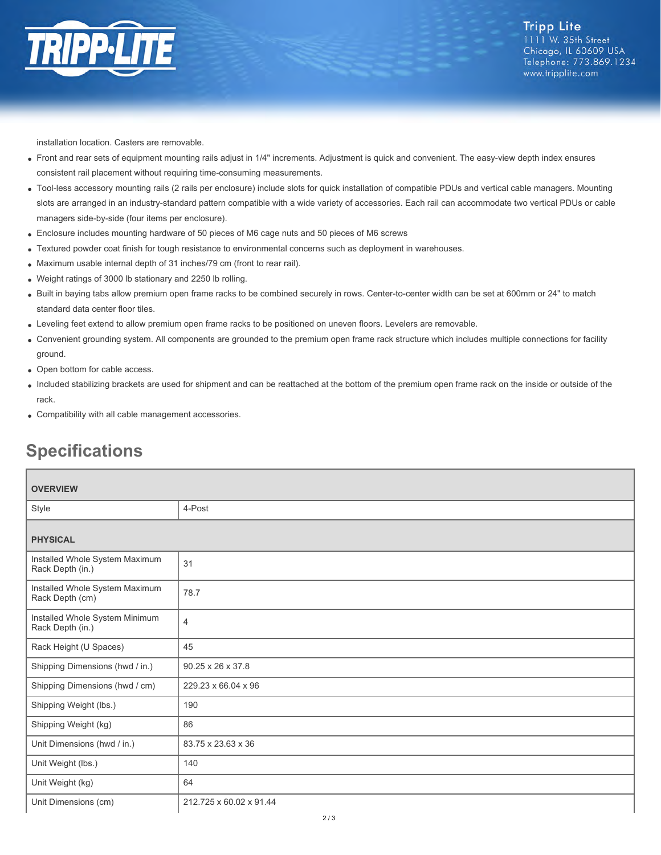

installation location. Casters are removable.

- Front and rear sets of equipment mounting rails adjust in 1/4" increments. Adjustment is quick and convenient. The easy-view depth index ensures consistent rail placement without requiring time-consuming measurements.
- Tool-less accessory mounting rails (2 rails per enclosure) include slots for quick installation of compatible PDUs and vertical cable managers. Mounting slots are arranged in an industry-standard pattern compatible with a wide variety of accessories. Each rail can accommodate two vertical PDUs or cable managers side-by-side (four items per enclosure).
- Enclosure includes mounting hardware of 50 pieces of M6 cage nuts and 50 pieces of M6 screws
- Textured powder coat finish for tough resistance to environmental concerns such as deployment in warehouses.
- Maximum usable internal depth of 31 inches/79 cm (front to rear rail).
- Weight ratings of 3000 lb stationary and 2250 lb rolling.
- Built in baying tabs allow premium open frame racks to be combined securely in rows. Center-to-center width can be set at 600mm or 24" to match standard data center floor tiles.
- Leveling feet extend to allow premium open frame racks to be positioned on uneven floors. Levelers are removable.
- Convenient grounding system. All components are grounded to the premium open frame rack structure which includes multiple connections for facility ground.
- Open bottom for cable access.
- Included stabilizing brackets are used for shipment and can be reattached at the bottom of the premium open frame rack on the inside or outside of the rack.
- Compatibility with all cable management accessories.

# **Specifications**

| <b>OVERVIEW</b>                                    |                         |
|----------------------------------------------------|-------------------------|
| Style                                              | 4-Post                  |
| <b>PHYSICAL</b>                                    |                         |
| Installed Whole System Maximum<br>Rack Depth (in.) | 31                      |
| Installed Whole System Maximum<br>Rack Depth (cm)  | 78.7                    |
| Installed Whole System Minimum<br>Rack Depth (in.) | $\overline{4}$          |
| Rack Height (U Spaces)                             | 45                      |
| Shipping Dimensions (hwd / in.)                    | 90.25 x 26 x 37.8       |
| Shipping Dimensions (hwd / cm)                     | 229.23 x 66.04 x 96     |
| Shipping Weight (lbs.)                             | 190                     |
| Shipping Weight (kg)                               | 86                      |
| Unit Dimensions (hwd / in.)                        | 83.75 x 23.63 x 36      |
| Unit Weight (lbs.)                                 | 140                     |
| Unit Weight (kg)                                   | 64                      |
| Unit Dimensions (cm)                               | 212.725 x 60.02 x 91.44 |